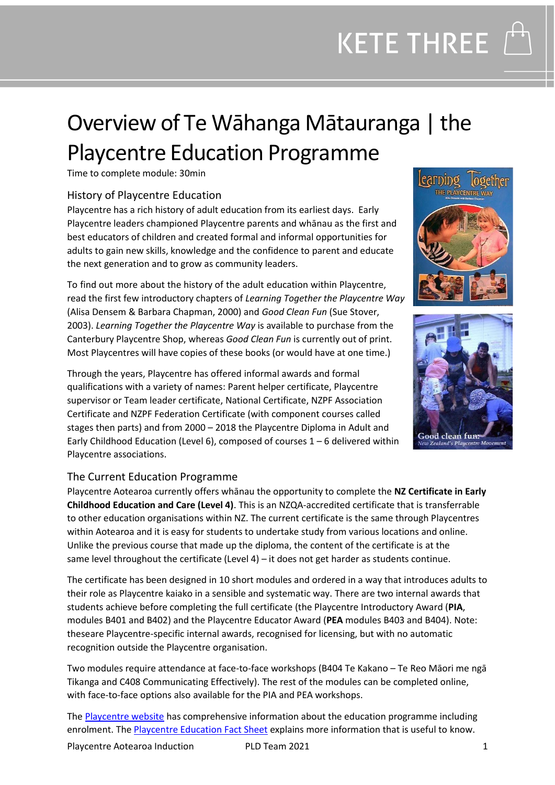## Overview of Te Wāhanga Mātauranga | the Playcentre Education Programme

Time to complete module: 30min

## History of Playcentre Education

Playcentre has a rich history of adult education from its earliest days. Early Playcentre leaders championed Playcentre parents and whānau as the first and best educators of children and created formal and informal opportunities for adults to gain new skills, knowledge and the confidence to parent and educate the next generation and to grow as community leaders.

To find out more about the history of the adult education within Playcentre, read the first few introductory chapters of *Learning Together the Playcentre Way* (Alisa Densem & Barbara Chapman, 2000) and *Good Clean Fun* (Sue Stover, 2003). *Learning Together the Playcentre Way* is available to purchase from the Canterbury Playcentre Shop, whereas *Good Clean Fun* is currently out of print. Most Playcentres will have copies of these books (or would have at one time.)

Through the years, Playcentre has offered informal awards and formal qualifications with a variety of names: Parent helper certificate, Playcentre supervisor or Team leader certificate, National Certificate, NZPF Association Certificate and NZPF Federation Certificate (with component courses called stages then parts) and from 2000 – 2018 the Playcentre Diploma in Adult and Early Childhood Education (Level 6), composed of courses 1 – 6 delivered within Playcentre associations.





### The Current Education Programme

Playcentre Aotearoa currently offers whānau the opportunity to complete the **NZ Certificate in Early Childhood Education and Care (Level 4)**. This is an NZQA-accredited certificate that is transferrable to other education organisations within NZ. The current certificate is the same through Playcentres within Aotearoa and it is easy for students to undertake study from various locations and online. Unlike the previous course that made up the diploma, the content of the certificate is at the same level throughout the certificate (Level 4) – it does not get harder as students continue.

The certificate has been designed in 10 short modules and ordered in a way that introduces adults to their role as Playcentre kaiako in a sensible and systematic way. There are two internal awards that students achieve before completing the full certificate (the Playcentre Introductory Award (**PIA**, modules B401 and B402) and the Playcentre Educator Award (**PEA** modules B403 and B404). Note: theseare Playcentre-specific internal awards, recognised for licensing, but with no automatic recognition outside the Playcentre organisation.

Two modules require attendance at face-to-face workshops (B404 Te Kakano – Te Reo Māori me ngā Tikanga and C408 Communicating Effectively). The rest of the modules can be completed online, with face-to-face options also available for the PIA and PEA workshops.

The **Playcentre website** has comprehensive information about the education programme including enrolment. Th[e Playcentre Education Fact Sheet](https://www.playcentre.org.nz/wp-content/uploads/2020/02/Playcentre-Education-Fact-Sheet.pdf) explains more information that is useful to know.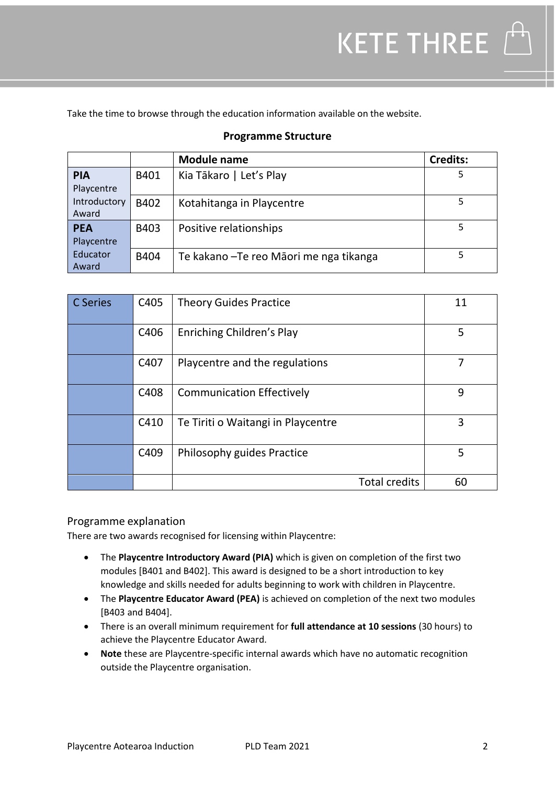Take the time to browse through the education information available on the website.

|              |      | <b>Module name</b>                      | <b>Credits:</b> |
|--------------|------|-----------------------------------------|-----------------|
| <b>PIA</b>   | B401 | Kia Tākaro   Let's Play                 |                 |
| Playcentre   |      |                                         |                 |
| Introductory | B402 | Kotahitanga in Playcentre               |                 |
| Award        |      |                                         |                 |
| <b>PEA</b>   | B403 | Positive relationships                  |                 |
| Playcentre   |      |                                         |                 |
| Educator     | B404 | Te kakano – Te reo Māori me nga tikanga |                 |
| Award        |      |                                         |                 |

## **Programme Structure**

| C Series | C405 | <b>Theory Guides Practice</b>      | 11 |
|----------|------|------------------------------------|----|
|          | C406 | Enriching Children's Play          | 5  |
|          | C407 | Playcentre and the regulations     |    |
|          | C408 | <b>Communication Effectively</b>   | 9  |
|          | C410 | Te Tiriti o Waitangi in Playcentre | 3  |
|          | C409 | Philosophy guides Practice         | 5  |
|          |      | <b>Total credits</b>               | 60 |

### Programme explanation

There are two awards recognised for licensing within Playcentre:

- The **Playcentre Introductory Award (PIA)** which is given on completion of the first two modules [B401 and B402]. This award is designed to be a short introduction to key knowledge and skills needed for adults beginning to work with children in Playcentre.
- The **Playcentre Educator Award (PEA)** is achieved on completion of the next two modules [B403 and B404].
- There is an overall minimum requirement for **full attendance at 10 sessions** (30 hours) to achieve the Playcentre Educator Award.
- **Note** these are Playcentre-specific internal awards which have no automatic recognition outside the Playcentre organisation.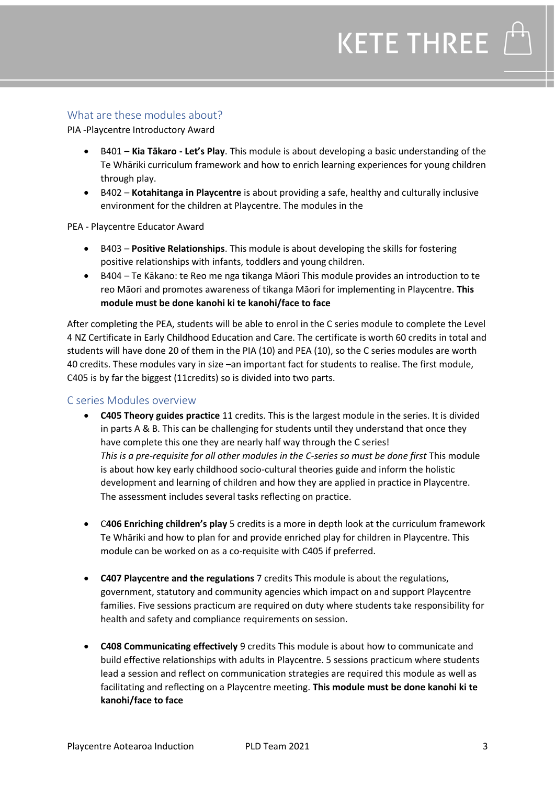### What are these modules about?

PIA -Playcentre Introductory Award

- B401 **Kia Tākaro - Let's Play**. This module is about developing a basic understanding of the Te Whāriki curriculum framework and how to enrich learning experiences for young children through play.
- B402 **Kotahitanga in Playcentre** is about providing a safe, healthy and culturally inclusive environment for the children at Playcentre. The modules in the

PEA - Playcentre Educator Award

- B403 **Positive Relationships**. This module is about developing the skills for fostering positive relationships with infants, toddlers and young children.
- B404 Te Kākano: te Reo me nga tikanga Māori This module provides an introduction to te reo Māori and promotes awareness of tikanga Māori for implementing in Playcentre. **This module must be done kanohi ki te kanohi/face to face**

After completing the PEA, students will be able to enrol in the C series module to complete the Level 4 NZ Certificate in Early Childhood Education and Care. The certificate is worth 60 credits in total and students will have done 20 of them in the PIA (10) and PEA (10), so the C series modules are worth 40 credits. These modules vary in size –an important fact for students to realise. The first module, C405 is by far the biggest (11credits) so is divided into two parts.

#### C series Modules overview

- **C405 Theory guides practice** 11 credits. This is the largest module in the series. It is divided in parts A & B. This can be challenging for students until they understand that once they have complete this one they are nearly half way through the C series! *This is a pre-requisite for all other modules in the C-series so must be done first* This module is about how key early childhood socio-cultural theories guide and inform the holistic development and learning of children and how they are applied in practice in Playcentre. The assessment includes several tasks reflecting on practice.
- C**406 Enriching children's play** 5 credits is a more in depth look at the curriculum framework Te Whāriki and how to plan for and provide enriched play for children in Playcentre. This module can be worked on as a co-requisite with C405 if preferred.
- **C407 Playcentre and the regulations** 7 credits This module is about the regulations, government, statutory and community agencies which impact on and support Playcentre families. Five sessions practicum are required on duty where students take responsibility for health and safety and compliance requirements on session.
- **C408 Communicating effectively** 9 credits This module is about how to communicate and build effective relationships with adults in Playcentre. 5 sessions practicum where students lead a session and reflect on communication strategies are required this module as well as facilitating and reflecting on a Playcentre meeting. **This module must be done kanohi ki te kanohi/face to face**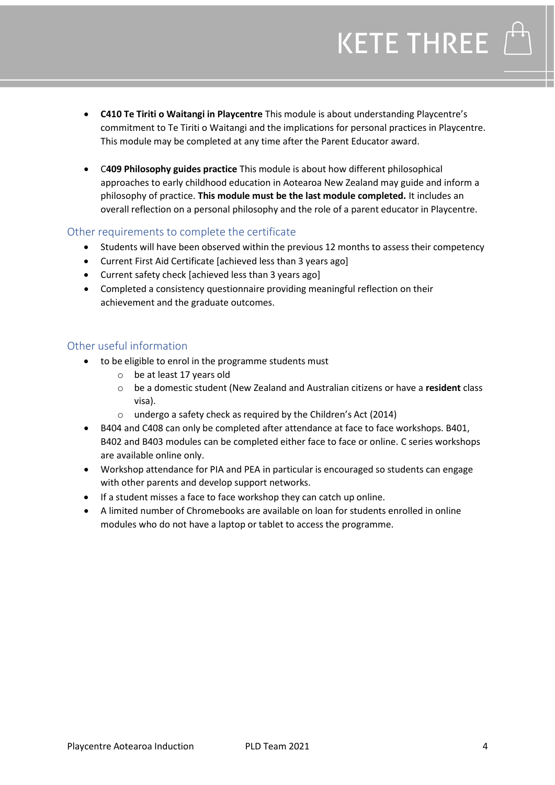- **C410 Te Tiriti o Waitangi in Playcentre** This module is about understanding Playcentre's commitment to Te Tiriti o Waitangi and the implications for personal practices in Playcentre. This module may be completed at any time after the Parent Educator award.
- C**409 Philosophy guides practice** This module is about how different philosophical approaches to early childhood education in Aotearoa New Zealand may guide and inform a philosophy of practice. **This module must be the last module completed.** It includes an overall reflection on a personal philosophy and the role of a parent educator in Playcentre.

## Other requirements to complete the certificate

- Students will have been observed within the previous 12 months to assess their competency
- Current First Aid Certificate [achieved less than 3 years ago]
- Current safety check [achieved less than 3 years ago]
- Completed a consistency questionnaire providing meaningful reflection on their achievement and the graduate outcomes.

### Other useful information

- to be eligible to enrol in the programme students must
	- o be at least 17 years old
	- o be a domestic student (New Zealand and Australian citizens or have a **resident** class visa).
	- o undergo a safety check as required by the Children's Act (2014)
- B404 and C408 can only be completed after attendance at face to face workshops. B401, B402 and B403 modules can be completed either face to face or online. C series workshops are available online only.
- Workshop attendance for PIA and PEA in particular is encouraged so students can engage with other parents and develop support networks.
- If a student misses a face to face workshop they can catch up online.
- A limited number of Chromebooks are available on loan for students enrolled in online modules who do not have a laptop or tablet to access the programme.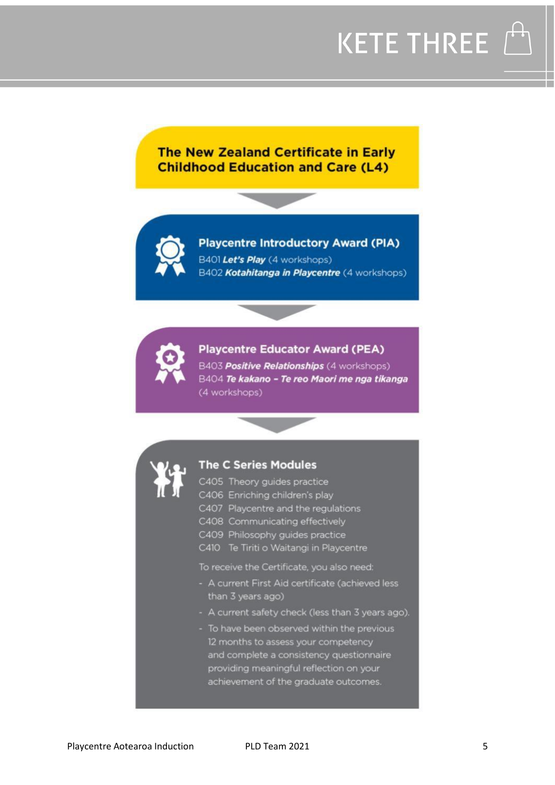

## **The New Zealand Certificate in Early Childhood Education and Care (L4)**



**Playcentre Introductory Award (PIA)** B401 Let's Play (4 workshops) B402 Kotahitanga in Playcentre (4 workshops)



### **Playcentre Educator Award (PEA)**

B403 Positive Relationships (4 workshops) B404 Te kakano - Te reo Maori me nga tikanga (4 workshops)



### **The C Series Modules**

- C405 Theory guides practice
- C406 Enriching children's play
- C407 Playcentre and the regulations
- C408 Communicating effectively
- C409 Philosophy guides practice
- C410 Te Tiriti o Waitangi in Playcentre

To receive the Certificate, you also need:

- A current First Aid certificate (achieved less than 3 years ago)
- A current safety check (less than 3 years ago).
- To have been observed within the previous 12 months to assess your competency and complete a consistency questionnaire providing meaningful reflection on your achievement of the graduate outcomes.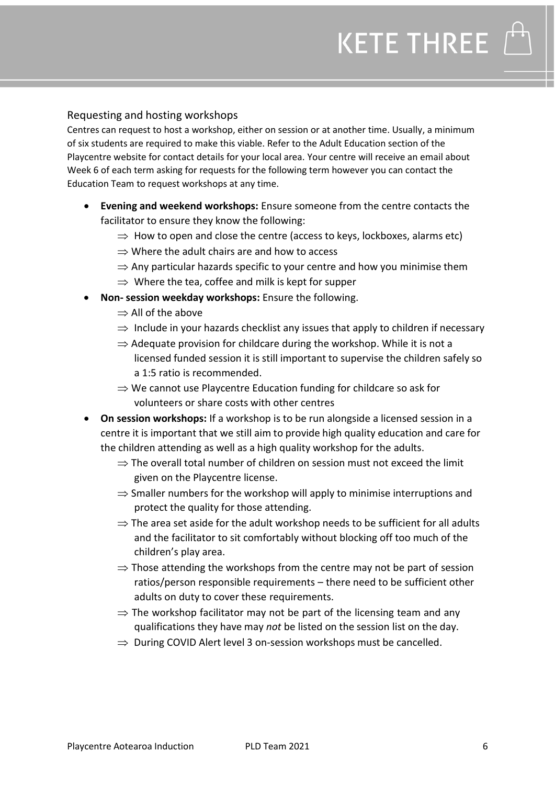## Requesting and hosting workshops

Centres can request to host a workshop, either on session or at another time. Usually, a minimum of six students are required to make this viable. Refer to the Adult Education section of the Playcentre website for contact details for your local area. Your centre will receive an email about Week 6 of each term asking for requests for the following term however you can contact the Education Team to request workshops at any time.

- **Evening and weekend workshops:** Ensure someone from the centre contacts the facilitator to ensure they know the following:
	- $\Rightarrow$  How to open and close the centre (access to keys, lockboxes, alarms etc)
	- $\Rightarrow$  Where the adult chairs are and how to access
	- $\Rightarrow$  Any particular hazards specific to your centre and how you minimise them
	- $\Rightarrow$  Where the tea, coffee and milk is kept for supper
- **Non- session weekday workshops:** Ensure the following.
	- $\Rightarrow$  All of the above
	- $\Rightarrow$  Include in your hazards checklist any issues that apply to children if necessary
	- $\Rightarrow$  Adequate provision for childcare during the workshop. While it is not a licensed funded session it is still important to supervise the children safely so a 1:5 ratio is recommended.
	- $\Rightarrow$  We cannot use Playcentre Education funding for childcare so ask for volunteers or share costs with other centres
- **On session workshops:** If a workshop is to be run alongside a licensed session in a centre it is important that we still aim to provide high quality education and care for the children attending as well as a high quality workshop for the adults.
	- $\Rightarrow$  The overall total number of children on session must not exceed the limit given on the Playcentre license.
	- $\Rightarrow$  Smaller numbers for the workshop will apply to minimise interruptions and protect the quality for those attending.
	- $\Rightarrow$  The area set aside for the adult workshop needs to be sufficient for all adults and the facilitator to sit comfortably without blocking off too much of the children's play area.
	- $\Rightarrow$  Those attending the workshops from the centre may not be part of session ratios/person responsible requirements – there need to be sufficient other adults on duty to cover these requirements.
	- $\Rightarrow$  The workshop facilitator may not be part of the licensing team and any qualifications they have may *not* be listed on the session list on the day.
	- $\Rightarrow$  During COVID Alert level 3 on-session workshops must be cancelled.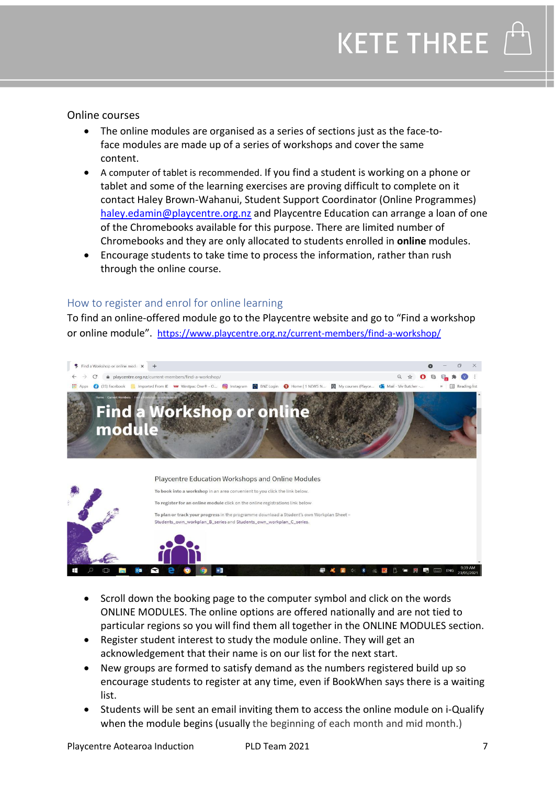

Online courses

- The online modules are organised as a series of sections just as the face-toface modules are made up of a series of workshops and cover the same content.
- A computer of tablet is recommended. If you find a student is working on a phone or tablet and some of the learning exercises are proving difficult to complete on it contact Haley Brown-Wahanui, Student Support Coordinator (Online Programmes) [haley.edamin@playcentre.org.nz](mailto:haley.edamin@playcentre.org.nz) and Playcentre Education can arrange a loan of one of the Chromebooks available for this purpose. There are limited number of Chromebooks and they are only allocated to students enrolled in **online** modules.
- Encourage students to take time to process the information, rather than rush through the online course.

## How to register and enrol for online learning

To find an online-offered module go to the Playcentre website and go to "Find a workshop or online module". <https://www.playcentre.org.nz/current-members/find-a-workshop/>



- Scroll down the booking page to the computer symbol and click on the words ONLINE MODULES. The online options are offered nationally and are not tied to particular regions so you will find them all together in the ONLINE MODULES section.
- Register student interest to study the module online. They will get an acknowledgement that their name is on our list for the next start.
- New groups are formed to satisfy demand as the numbers registered build up so encourage students to register at any time, even if BookWhen says there is a waiting list.
- Students will be sent an email inviting them to access the online module on i-Qualify when the module begins (usually the beginning of each month and mid month.)